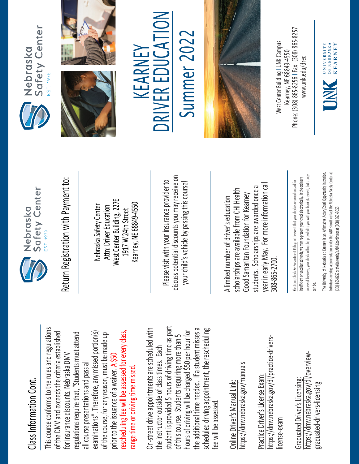## Class Information Cont. Class Information Cont

This course conforms to the rules and regulations This course conforms to the rules and regulations rescheduling fee will be assessed for every class, examinations". Therefore, any missed portion(s) of the DMV and exceeds the criteria established regulations require that, "Students must attend of the DMV and exceeds the criteria established of the course, for any reason, must be made up rescheduling fee will be assessed for every class, regulations require that, "Students must attend examinations". Therefore, any missed portion(s) of the course, for any reason, must be made up for insurance discounts. Nebraska DMV for insurance discounts. Nebraska DMV prior to the issuance of a waiver. A \$50 all course presentations and pass all all course presentations and pass all range time or driving time missed. prior to the issuance of a waiver. range time or driving time missed

student is provided 5 hours of driving time as part On-street drive appointments are scheduled with student is provided 5 hours of driving time as part the additional time needed. If a student misses a scheduled driving appointment, the rescheduling the additional time needed. If a student misses a On-street drive appointments are scheduled with hours of driving will be charged \$50 per hour for scheduled driving appointment, the rescheduling hours of driving will be charged \$50 per hour for of this course. Students requiring more than 5 of this course. Students requiring more than 5 the instructor outside of class times. Each the instructor outside of class times. Each fee will be assessed. fee will be assessed

https://dmv.nebraska.gov/manuals https://dmv.nebraska.gov/manuals Online Driver's Manual Link: Online Driver's Manual Link:

https://dmv.nebraska.gov/dl/practice-drivershttps://dmv.nebraska.gov/dl/practice-drivers-Practice Driver's License Exam: Practice Driver's License Exam license-exam license-exam

https://dmv.nebraska.gov/dl/overviewhttps://dmv.nebraska.gov/dl/overview· Graduated Driver's Licensing: Graduated Driver's Licensing graduated-drivers-licensing graduated-drivers-licensing



Nebraska Safety Center Attn: Driver Education West Center Building, 227E 1917 W 24th Street Kearney, NE 68849-4550

Please visit with your insurance provider to discuss potential discounts you may receive on potential discounts you may receive on your child's vehicle by passing this course! Return Registration with Payment to:<br>
Nebraska Safety Center<br>
Mest Center Building, 227E<br>
West Center Building, 227E<br>
Rearney, NE 68849-4550<br>
Rease visit with your insurance provider to<br>
please visit with your insurance pr

year in early May. For more information call year in early May. For more information cal students. Scholarships are awarded once a scholarships are available from CHI Health scholarships are available from CHI Health Good Samaritan Foundation for Kearney<br>students. Scholarships are awarded once Good Samaritan Foundation for Kearney 308-865-2700. 308-865-2700

course of business, your check will not be provided to you with your bank statement, but a copy course of business, your check will not be provided to you with your bank statement, but a copy insufficient or uncollected funds, we may re-present your check electronically. In the ordinary insufficient or uncollected funds, we may re-present your check electronically. In the ordinary Electronic Check Re-Presentment Policy: In the event that your check is returned unpaid for Electronic Check Re-Presentment Policy: In the event that your check is returned unpaid for can be. stitution. ndividuals I needing accommodation under the ADA should contact the Nebraska Safety Center at Individuals needing accommodation under the ADA should contact the Nebraska Safety Center at The University of Nebraska at Kearney is an Affirmative Action/Equal Opportunity In (308) 865-8256 or the University's ADA Coordinator at (308) 865-8655. [308] 865-8256 or the University's ADA Coordinator at (308) 865-8655









 $\sum_{i=1}^{n}$ Summer 2022 Summer 202 R EDUCA KEARNEY KEARNEY E RIV **NC** 



Phone: (308) 865-8256 | Fax: (308) 865-8257 West Center Building I UNK Campus West Center Building | UNK Campus -8256 I Fax: (308) 865 Kearney. NE 68849-4550 www.unk.edu/dred [www.unk.edu/dred](http://www.unk.edu/dred) Kearney, NE 68849 Phone: (308) 865

OF NEBRASKA **KEARNEY** UNIVERSITY INK